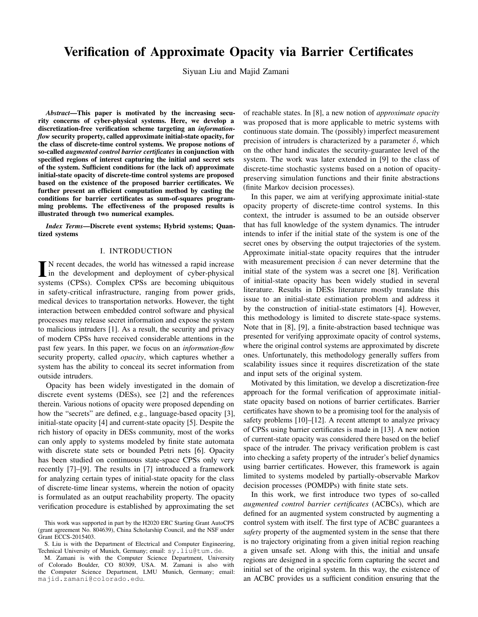# Verification of Approximate Opacity via Barrier Certificates

Siyuan Liu and Majid Zamani

*Abstract*—This paper is motivated by the increasing security concerns of cyber-physical systems. Here, we develop a discretization-free verification scheme targeting an *informationflow* security property, called approximate initial-state opacity, for the class of discrete-time control systems. We propose notions of so-called *augmented control barrier certificates* in conjunction with specified regions of interest capturing the initial and secret sets of the system. Sufficient conditions for (the lack of) approximate initial-state opacity of discrete-time control systems are proposed based on the existence of the proposed barrier certificates. We further present an efficient computation method by casting the conditions for barrier certificates as sum-of-squares programming problems. The effectiveness of the proposed results is illustrated through two numerical examples.

*Index Terms*—Discrete event systems; Hybrid systems; Quantized systems

# I. INTRODUCTION

 $\blacksquare$  N recent decades, the world has witnessed a rapid increase<br>in the development and deployment of cyber-physical<br>systems (CDSs). Countles CDSs are becoming utimitants N recent decades, the world has witnessed a rapid increase systems (CPSs). Complex CPSs are becoming ubiquitous in safety-critical infrastructure, ranging from power grids, medical devices to transportation networks. However, the tight interaction between embedded control software and physical processes may release secret information and expose the system to malicious intruders [1]. As a result, the security and privacy of modern CPSs have received considerable attentions in the past few years. In this paper, we focus on an *information-flow* security property, called *opacity*, which captures whether a system has the ability to conceal its secret information from outside intruders.

Opacity has been widely investigated in the domain of discrete event systems (DESs), see [2] and the references therein. Various notions of opacity were proposed depending on how the "secrets" are defined, e.g., language-based opacity [3], initial-state opacity [4] and current-state opacity [5]. Despite the rich history of opacity in DESs community, most of the works can only apply to systems modeled by finite state automata with discrete state sets or bounded Petri nets [6]. Opacity has been studied on continuous state-space CPSs only very recently [7]–[9]. The results in [7] introduced a framework for analyzing certain types of initial-state opacity for the class of discrete-time linear systems, wherein the notion of opacity is formulated as an output reachability property. The opacity verification procedure is established by approximating the set

of reachable states. In [8], a new notion of *approximate opacity* was proposed that is more applicable to metric systems with continuous state domain. The (possibly) imperfect measurement precision of intruders is characterized by a parameter  $\delta$ , which on the other hand indicates the security-guarantee level of the system. The work was later extended in [9] to the class of discrete-time stochastic systems based on a notion of opacitypreserving simulation functions and their finite abstractions (finite Markov decision processes).

In this paper, we aim at verifying approximate initial-state opacity property of discrete-time control systems. In this context, the intruder is assumed to be an outside observer that has full knowledge of the system dynamics. The intruder intends to infer if the initial state of the system is one of the secret ones by observing the output trajectories of the system. Approximate initial-state opacity requires that the intruder with measurement precision  $\delta$  can never determine that the initial state of the system was a secret one [8]. Verification of initial-state opacity has been widely studied in several literature. Results in DESs literature mostly translate this issue to an initial-state estimation problem and address it by the construction of initial-state estimators [4]. However, this methodology is limited to discrete state-space systems. Note that in [8], [9], a finite-abstraction based technique was presented for verifying approximate opacity of control systems, where the original control systems are approximated by discrete ones. Unfortunately, this methodology generally suffers from scalability issues since it requires discretization of the state and input sets of the original system.

Motivated by this limitation, we develop a discretization-free approach for the formal verification of approximate initialstate opacity based on notions of barrier certificates. Barrier certificates have shown to be a promising tool for the analysis of safety problems [10]–[12]. A recent attempt to analyze privacy of CPSs using barrier certificates is made in [13]. A new notion of current-state opacity was considered there based on the belief space of the intruder. The privacy verification problem is cast into checking a safety property of the intruder's belief dynamics using barrier certificates. However, this framework is again limited to systems modeled by partially-observable Markov decision processes (POMDPs) with finite state sets.

In this work, we first introduce two types of so-called *augmented control barrier certificates* (ACBCs), which are defined for an augmented system constructed by augmenting a control system with itself. The first type of ACBC guarantees a *safety* property of the augmented system in the sense that there is no trajectory originating from a given initial region reaching a given unsafe set. Along with this, the initial and unsafe regions are designed in a specific form capturing the secret and initial set of the original system. In this way, the existence of an ACBC provides us a sufficient condition ensuring that the

This work was supported in part by the H2020 ERC Starting Grant AutoCPS (grant agreement No. 804639), China Scholarship Council, and the NSF under Grant ECCS-2015403.

S. Liu is with the Department of Electrical and Computer Engineering, Technical University of Munich, Germany; email: sy.liu@tum.de.

M. Zamani is with the Computer Science Department, University of Colorado Boulder, CO 80309, USA. M. Zamani is also with the Computer Science Department, LMU Munich, Germany; email: majid.zamani@colorado.edu.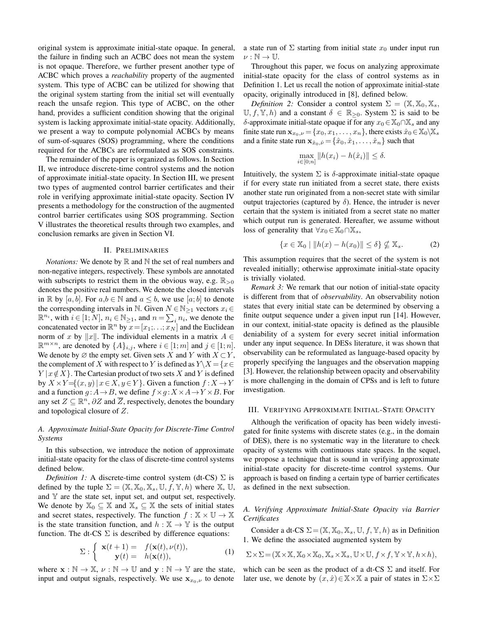original system is approximate initial-state opaque. In general, the failure in finding such an ACBC does not mean the system is not opaque. Therefore, we further present another type of ACBC which proves a *reachability* property of the augmented system. This type of ACBC can be utilized for showing that the original system starting from the initial set will eventually reach the unsafe region. This type of ACBC, on the other hand, provides a sufficient condition showing that the original system is lacking approximate initial-state opacity. Additionally, we present a way to compute polynomial ACBCs by means of sum-of-squares (SOS) programming, where the conditions required for the ACBCs are reformulated as SOS constraints.

The remainder of the paper is organized as follows. In Section II, we introduce discrete-time control systems and the notion of approximate initial-state opacity. In Section III, we present two types of augmented control barrier certificates and their role in verifying approximate initial-state opacity. Section IV presents a methodology for the construction of the augmented control barrier certificates using SOS programming. Section V illustrates the theoretical results through two examples, and conclusion remarks are given in Section VI.

#### II. PRELIMINARIES

*Notations:* We denote by  $\mathbb R$  and  $\mathbb N$  the set of real numbers and non-negative integers, respectively. These symbols are annotated with subscripts to restrict them in the obvious way, e.g.  $\mathbb{R}_{>0}$ denotes the positive real numbers. We denote the closed intervals in R by [a, b]. For  $a, b \in \mathbb{N}$  and  $a \leq b$ , we use [a; b] to denote the corresponding intervals in N. Given  $N \in \mathbb{N}_{\geq 1}$  vectors  $x_i \in$  $\mathbb{R}^{n_i}$ , with  $i \in [1; N]$ ,  $n_i \in \mathbb{N}_{\geq 1}$ , and  $n = \sum_i n_i$ , we denote the concatenated vector in  $\mathbb{R}^n$  by  $x = [x_1; \ldots; x_N]$  and the Euclidean norm of x by ||x||. The individual elements in a matrix  $A \in$  $\mathbb{R}^{m \times n}$ , are denoted by  $\{A\}_{i,j}$ , where  $i \in [1; m]$  and  $j \in [1; n]$ . We denote by  $\emptyset$  the empty set. Given sets X and Y with  $X \subset Y$ , the complement of X with respect to Y is defined as  $Y\setminus X = \{x \in$  $Y | x \notin X$ . The Cartesian product of two sets X and Y is defined by  $X \times Y = \{(x, y) | x \in X, y \in Y\}$ . Given a function  $f : X \to Y$ and a function  $g : A \to B$ , we define  $f \times g : X \times A \to Y \times B$ . For any set  $Z \subseteq \mathbb{R}^n$ ,  $\partial Z$  and  $\overline{Z}$ , respectively, denotes the boundary and topological closure of Z.

# *A. Approximate Initial-State Opacity for Discrete-Time Control Systems*

In this subsection, we introduce the notion of approximate initial-state opacity for the class of discrete-time control systems defined below.

*Definition 1:* A discrete-time control system (dt-CS)  $\Sigma$  is defined by the tuple  $\Sigma = (\mathbb{X}, \mathbb{X}_0, \mathbb{X}_s, \mathbb{U}, f, \mathbb{Y}, h)$  where  $\mathbb{X}, \mathbb{U},$ and  $Y$  are the state set, input set, and output set, respectively. We denote by  $\mathbb{X}_0 \subseteq \mathbb{X}$  and  $\mathbb{X}_s \subseteq \mathbb{X}$  the sets of initial states and secret states, respectively. The function  $f : \mathbb{X} \times \mathbb{U} \rightarrow \mathbb{X}$ is the state transition function, and  $h : \mathbb{X} \to \mathbb{Y}$  is the output function. The dt-CS  $\Sigma$  is described by difference equations:

$$
\Sigma: \begin{cases} \mathbf{x}(t+1) = f(\mathbf{x}(t), \nu(t)), \\ \mathbf{y}(t) = h(\mathbf{x}(t)), \end{cases}
$$
 (1)

where  $\mathbf{x} : \mathbb{N} \to \mathbb{X}, \nu : \mathbb{N} \to \mathbb{U}$  and  $\mathbf{y} : \mathbb{N} \to \mathbb{Y}$  are the state, input and output signals, respectively. We use  $x_{x_0,\nu}$  to denote

a state run of  $\Sigma$  starting from initial state  $x_0$  under input run  $\nu : \mathbb{N} \to \mathbb{U}.$ 

Throughout this paper, we focus on analyzing approximate initial-state opacity for the class of control systems as in Definition 1. Let us recall the notion of approximate initial-state opacity, originally introduced in [8], defined below.

*Definition 2:* Consider a control system  $\Sigma = (\mathbb{X}, \mathbb{X}_0, \mathbb{X}_s)$ ,  $\mathbb{U}, f, \mathbb{Y}, h$  and a constant  $\delta \in \mathbb{R}_{\geq 0}$ . System  $\Sigma$  is said to be δ-approximate initial-state opaque if for any  $x_0 \in X_0 \cap X_s$  and any finite state run  $\mathbf{x}_{x_0,\nu} = \{x_0, x_1, \dots, x_n\}$ , there exists  $\hat{x}_0 \in \mathbb{X}_0 \setminus \mathbb{X}_s$ and a finite state run  $\mathbf{x}_{\hat{x}_0,\hat{\nu}} = \{\hat{x}_0, \hat{x}_1, \dots, \hat{x}_n\}$  such that

$$
\max_{i \in [0; n]} \|h(x_i) - h(\hat{x}_i)\| \le \delta.
$$

Intuitively, the system  $\Sigma$  is  $\delta$ -approximate initial-state opaque if for every state run initiated from a secret state, there exists another state run originated from a non-secret state with similar output trajectories (captured by  $\delta$ ). Hence, the intruder is never certain that the system is initiated from a secret state no matter which output run is generated. Hereafter, we assume without loss of generality that  $\forall x_0 \in \mathbb{X}_0 \cap \mathbb{X}_s$ ,

$$
\{x \in \mathbb{X}_0 \mid \|h(x) - h(x_0)\| \le \delta\} \nsubseteq \mathbb{X}_s. \tag{2}
$$

This assumption requires that the secret of the system is not revealed initially; otherwise approximate initial-state opacity is trivially violated.

*Remark 3:* We remark that our notion of initial-state opacity is different from that of *observability*. An observability notion states that every initial state can be determined by observing a finite output sequence under a given input run [14]. However, in our context, initial-state opacity is defined as the plausible deniability of a system for every secret initial information under any input sequence. In DESs literature, it was shown that observability can be reformulated as language-based opacity by properly specifying the languages and the observation mapping [3]. However, the relationship between opacity and observability is more challenging in the domain of CPSs and is left to future investigation.

#### III. VERIFYING APPROXIMATE INITIAL-STATE OPACITY

Although the verification of opacity has been widely investigated for finite systems with discrete states (e.g., in the domain of DES), there is no systematic way in the literature to check opacity of systems with continuous state spaces. In the sequel, we propose a technique that is sound in verifying approximate initial-state opacity for discrete-time control systems. Our approach is based on finding a certain type of barrier certificates as defined in the next subsection.

*A. Verifying Approximate Initial-State Opacity via Barrier Certificates*

Consider a dt-CS  $\Sigma = (\mathbb{X}, \mathbb{X}_0, \mathbb{X}_s, \mathbb{U}, f, \mathbb{Y}, h)$  as in Definition 1. We define the associated augmented system by

$$
\Sigma \times \Sigma = (\mathbb{X} \times \mathbb{X}, \mathbb{X}_0 \times \mathbb{X}_0, \mathbb{X}_s \times \mathbb{X}_s, \mathbb{U} \times \mathbb{U}, f \times f, \mathbb{Y} \times \mathbb{Y}, h \times h),
$$

which can be seen as the product of a dt-CS  $\Sigma$  and itself. For later use, we denote by  $(x, \hat{x}) \in X \times X$  a pair of states in  $\Sigma \times \Sigma$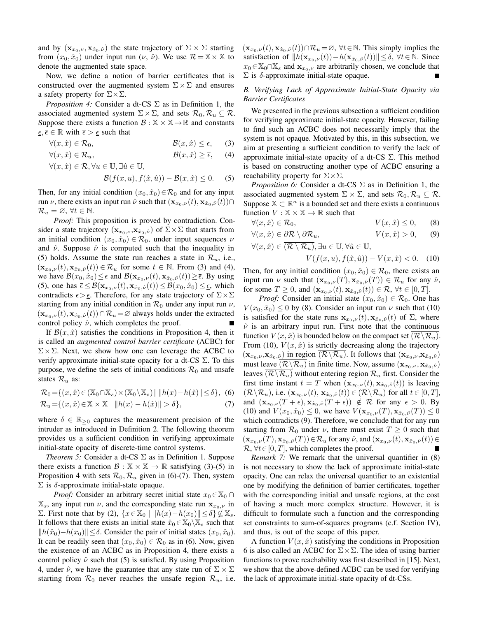and by  $(\mathbf{x}_{x_0,\nu}, \mathbf{x}_{\hat{x}_0,\hat{\nu}})$  the state trajectory of  $\Sigma \times \Sigma$  starting from  $(x_0, \hat{x}_0)$  under input run  $(\nu, \hat{\nu})$ . We use  $\mathcal{R} = \mathbb{X} \times \mathbb{X}$  to denote the augmented state space.

Now, we define a notion of barrier certificates that is constructed over the augmented system  $\Sigma \times \Sigma$  and ensures a safety property for  $\Sigma \times \Sigma$ .

*Proposition 4:* Consider a dt-CS Σ as in Definition 1, the associated augmented system  $\Sigma \times \Sigma$ , and sets  $\mathcal{R}_0, \mathcal{R}_u \subseteq \mathcal{R}$ . Suppose there exists a function  $\mathcal{B} : \mathbb{X} \times \mathbb{X} \to \mathbb{R}$  and constants  $\underline{\epsilon}, \overline{\epsilon} \in \mathbb{R}$  with  $\overline{\epsilon} > \underline{\epsilon}$  such that

 $\forall (x, \hat{x}) \in \mathcal{R}_0, \qquad \qquad \mathcal{B}(x, \hat{x}) \leq \epsilon, \qquad (3)$ 

$$
\forall (x, \hat{x}) \in \mathcal{R}_u, \qquad \qquad \mathcal{B}(x, \hat{x}) \ge \overline{\epsilon}, \qquad (4)
$$
  

$$
\forall (x, \hat{x}) \in \mathcal{R}, \forall u \in \mathbb{U}, \exists \hat{u} \in \mathbb{U},
$$

$$
\mathcal{B}(f(x, u), f(\hat{x}, \hat{u})) - \mathcal{B}(x, \hat{x}) \le 0.
$$
 (5)

Then, for any initial condition  $(x_0, \hat{x}_0) \in \mathcal{R}_0$  and for any input run  $\nu$ , there exists an input run  $\hat{\nu}$  such that  $(\mathbf{x}_{x_0,\nu}(t), \mathbf{x}_{\hat{x}_0,\hat{\nu}}(t))\cap$  $\mathcal{R}_u = \varnothing, \forall t \in \mathbb{N}.$ 

*Proof:* This proposition is proved by contradiction. Consider a state trajectory  $(\mathbf{x}_{x_0,\nu},\mathbf{x}_{\hat{x}_0,\hat{\nu}})$  of  $\Sigma\times\Sigma$  that starts from an initial condition  $(x_0, \hat{x}_0) \in \mathcal{R}_0$ , under input sequences  $\nu$ and  $\hat{\nu}$ . Suppose  $\hat{\nu}$  is computed such that the inequality in (5) holds. Assume the state run reaches a state in  $\mathcal{R}_u$ , i.e.,  $(\mathbf{x}_{x_0,\nu}(t), \mathbf{x}_{\hat{x}_0,\hat{\nu}}(t)) \in \mathcal{R}_u$  for some  $t \in \mathbb{N}$ . From (3) and (4), we have  $\mathcal{B}(x_0, \hat{x}_0) \leq \epsilon$  and  $\mathcal{B}(\mathbf{x}_{x_0,\nu}(t), \mathbf{x}_{\hat{x}_0,\hat{\nu}}(t)) \geq \bar{\epsilon}$ . By using (5), one has  $\bar{\epsilon} \leq \mathcal{B}(\mathbf{x}_{x_0,\nu}(t), \mathbf{x}_{\hat{x}_0,\hat{\nu}}(t)) \leq \mathcal{B}(x_0, \hat{x}_0) \leq \epsilon$ , which contradicts  $\bar{\epsilon} > \underline{\epsilon}$ . Therefore, for any state trajectory of  $\Sigma \times \Sigma$ starting from any initial condition in  $\mathcal{R}_0$  under any input run  $\nu$ ,  $(\mathbf{x}_{x_0,\nu}(t), \mathbf{x}_{\hat{x}_0,\hat{\nu}}(t)) \cap \mathcal{R}_u = \varnothing$  always holds under the extracted control policy  $\hat{\nu}$ , which completes the proof.

If  $\mathcal{B}(x, \hat{x})$  satisfies the conditions in Proposition 4, then it is called an *augmented control barrier certificate* (ACBC) for  $\Sigma \times \Sigma$ . Next, we show how one can leverage the ACBC to verify approximate initial-state opacity for a dt-CS  $\Sigma$ . To this purpose, we define the sets of initial conditions  $\mathcal{R}_0$  and unsafe states  $\mathcal{R}_u$  as:

$$
\mathcal{R}_0 = \{(x, \hat{x}) \in (\mathbb{X}_0 \cap \mathbb{X}_s) \times (\mathbb{X}_0 \setminus \mathbb{X}_s) \mid ||h(x) - h(\hat{x})|| \le \delta\},\tag{6}
$$

$$
\mathcal{R}_u = \{(x, \hat{x}) \in \mathbb{X} \times \mathbb{X} \mid ||h(x) - h(\hat{x})|| > \delta\},\tag{7}
$$

where  $\delta \in \mathbb{R}_{\geq 0}$  captures the measurement precision of the intruder as introduced in Definition 2. The following theorem provides us a sufficient condition in verifying approximate initial-state opacity of discrete-time control systems.

*Theorem 5:* Consider a dt-CS  $\Sigma$  as in Definition 1. Suppose there exists a function  $\mathcal{B} : \mathbb{X} \times \mathbb{X} \to \mathbb{R}$  satisfying (3)-(5) in Proposition 4 with sets  $\mathcal{R}_0$ ,  $\mathcal{R}_u$  given in (6)-(7). Then, system  $\Sigma$  is δ-approximate initial-state opaque.

*Proof:* Consider an arbitrary secret initial state  $x_0 \in \mathbb{X}_0 \cap$  $\mathbb{X}_s$ , any input run  $\nu$ , and the corresponding state run  $\mathbf{x}_{x_0,\nu}$  in Σ. First note that by (2),  $\{x \in \mathbb{X}_0 \mid ||h(x)-h(x_0)|| \le \delta\} \nsubseteq \mathbb{X}_s$ . It follows that there exists an initial state  $\hat{x}_0 \in \mathbb{X}_0 \setminus \mathbb{X}_s$  such that  $||h(\hat{x}_0)-h(x_0)|| \leq \delta$ . Consider the pair of initial states  $(x_0, \hat{x}_0)$ . It can be readily seen that  $(x_0, \hat{x}_0) \in \mathcal{R}_0$  as in (6). Now, given the existence of an ACBC as in Proposition 4, there exists a control policy  $\hat{\nu}$  such that (5) is satisfied. By using Proposition 4, under  $\hat{\nu}$ , we have the guarantee that any state run of  $\Sigma \times \Sigma$ starting from  $\mathcal{R}_0$  never reaches the unsafe region  $\mathcal{R}_u$ , i.e.  $(\mathbf{x}_{x_0,\nu}(t), \mathbf{x}_{\hat{x}_0,\hat{\nu}}(t)) \cap \mathcal{R}_u = \varnothing$ ,  $\forall t \in \mathbb{N}$ . This simply implies the satisfaction of  $||h(\mathbf{x}_{x_0,\nu}(t))-h(\mathbf{x}_{\hat{x}_0,\hat{\nu}}(t))|| \leq \delta, \forall t \in \mathbb{N}$ . Since  $x_0 \in \mathbb{X}_0 \cap \mathbb{X}_s$  and  $\mathbf{x}_{x_0,\nu}$  are arbitrarily chosen, we conclude that  $\Sigma$  is δ-approximate initial-state opaque.

# *B. Verifying Lack of Approximate Initial-State Opacity via Barrier Certificates*

We presented in the previous subsection a sufficient condition for verifying approximate initial-state opacity. However, failing to find such an ACBC does not necessarily imply that the system is not opaque. Motivated by this, in this subsection, we aim at presenting a sufficient condition to verify the lack of approximate initial-state opacity of a dt-CS  $\Sigma$ . This method is based on constructing another type of ACBC ensuring a reachability property for  $\Sigma \times \Sigma$ .

*Proposition 6:* Consider a dt-CS Σ as in Definition 1, the associated augmented system  $\Sigma \times \Sigma$ , and sets  $\mathcal{R}_0, \mathcal{R}_u \subseteq \mathcal{R}$ . Suppose  $\mathbb{X} \subset \mathbb{R}^n$  is a bounded set and there exists a continuous function  $V : \mathbb{X} \times \mathbb{X} \to \mathbb{R}$  such that

$$
\forall (x, \hat{x}) \in \mathcal{R}_0, \qquad V(x, \hat{x}) \le 0,\qquad (8)
$$

$$
\forall (x,\hat{x}) \in \partial \mathcal{R} \setminus \partial \mathcal{R}_u, \qquad V(x,\hat{x}) > 0, \qquad (9)
$$

$$
\forall (x, \hat{x}) \in \overline{(\mathcal{R} \setminus \mathcal{R}_u)}, \exists u \in \mathbb{U}, \forall \hat{u} \in \mathbb{U},
$$

$$
V(f(x, u), f(\hat{x}, \hat{u})) - V(x, \hat{x}) < 0.
$$
 (10)

Then, for any initial condition  $(x_0, \hat{x}_0) \in \mathcal{R}_0$ , there exists an input run  $\nu$  such that  $(\mathbf{x}_{x_0,\nu}(T), \mathbf{x}_{\hat{x}_0,\hat{\nu}}(T)) \in \mathcal{R}_u$  for any  $\hat{\nu}$ , for some  $T \geq 0$ , and  $(\mathbf{x}_{x_0,\nu}(t), \mathbf{x}_{\hat{x}_0,\hat{\nu}}(t)) \in \mathcal{R}, \forall t \in [0, T].$ 

*Proof:* Consider an initial state  $(x_0, \hat{x}_0) \in \mathcal{R}_0$ . One has  $V(x_0, \hat{x}_0) \le 0$  by (8). Consider an input run  $\nu$  such that (10) is satisfied for the state runs  $\mathbf{x}_{x_0,\nu}(t), \mathbf{x}_{\hat{x}_0,\hat{\nu}}(t)$  of  $\Sigma$ , where  $\hat{\nu}$  is an arbitrary input run. First note that the continuous function  $V(x, \hat{x})$  is bounded below on the compact set  $(\mathcal{R}\setminus\mathcal{R}_u)$ . From (10),  $V(x, \hat{x})$  is strictly decreasing along the trajectory  $(\mathbf{x}_{x_0,\nu},\mathbf{x}_{\hat{x}_0,\hat{\nu}})$  in region  $(\mathcal{R}\backslash\mathcal{R}_u)$ . It follows that  $(\mathbf{x}_{x_0,\nu},\mathbf{x}_{\hat{x}_0,\hat{\nu}})$ must leave  $(\mathcal{R}\backslash\mathcal{R}_u)$  in finite time. Now, assume  $(\mathbf{x}_{x_0,\nu}, \mathbf{x}_{\hat{x}_0,\hat{\nu}})$ leaves  $\overline{(\mathcal{R}\backslash\mathcal{R}_u)}$  without entering region  $\mathcal{R}_u$  first. Consider the first time instant  $t = T$  when  $(\mathbf{x}_{x_0,\nu}(t), \mathbf{x}_{\hat{x}_0,\hat{\nu}}(t))$  is leaving  $(\mathcal{R}\backslash\mathcal{R}_u)$ , i.e.  $(\mathbf{x}_{x_0,\nu}(t), \mathbf{x}_{\hat{x}_0,\hat{\nu}}(t)) \in (\mathcal{R}\backslash\mathcal{R}_u)$  for all  $t \in [0, T]$ , and  $(\mathbf{x}_{x_0,\nu}(T+\epsilon), \mathbf{x}_{\hat{x}_0,\hat{\nu}}(T+\epsilon)) \notin \mathcal{R}$  for any  $\epsilon > 0$ . By (10) and  $V(x_0, \hat{x}_0) \leq 0$ , we have  $V(\mathbf{x}_{x_0,\nu}(T), \mathbf{x}_{\hat{x}_0,\hat{\nu}}(T)) \leq 0$ which contradicts (9). Therefore, we conclude that for any run starting from  $\mathcal{R}_0$  under  $\nu$ , there must exist  $T \geq 0$  such that  $(\mathbf{x}_{x_0,\nu}(T), \mathbf{x}_{\hat{x}_0,\hat{\nu}}(T)) \in \mathcal{R}_u$  for any  $\hat{\nu}$ , and  $(\mathbf{x}_{x_0,\nu}(t), \mathbf{x}_{\hat{x}_0,\hat{\nu}}(t)) \in$  $\mathcal{R}, \forall t \in [0, T],$  which completes the proof.

*Remark 7:* We remark that the universal quantifier in (8) is not necessary to show the lack of approximate initial-state opacity. One can relax the universal quantifier to an existential one by modifying the definition of barrier certificates, together with the corresponding initial and unsafe regions, at the cost of having a much more complex structure. However, it is difficult to formulate such a function and the corresponding set constraints to sum-of-squares programs (c.f. Section IV), and thus, is out of the scope of this paper.

A function  $V(x, \hat{x})$  satisfying the conditions in Proposition 6 is also called an ACBC for  $\Sigma \times \Sigma$ . The idea of using barrier functions to prove reachability was first described in [15]. Next, we show that the above-defined ACBC can be used for verifying the lack of approximate initial-state opacity of dt-CSs.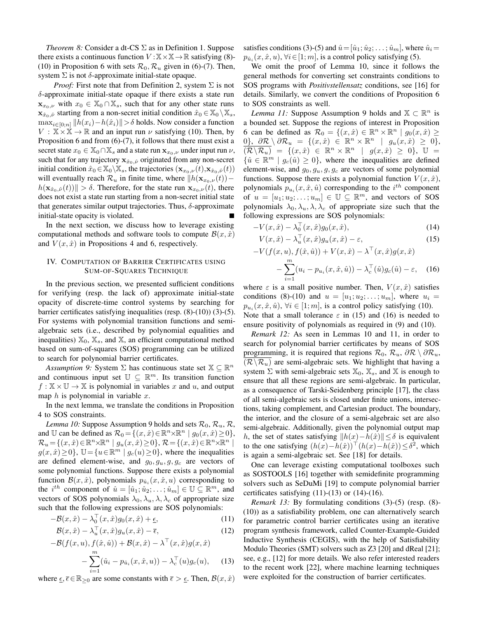*Theorem 8:* Consider a dt-CS Σ as in Definition 1. Suppose there exists a continuous function  $V : X \times X \rightarrow \mathbb{R}$  satisfying (8)-(10) in Proposition 6 with sets  $\mathcal{R}_0$ ,  $\mathcal{R}_u$  given in (6)-(7). Then, system  $\Sigma$  is not  $\delta$ -approximate initial-state opaque.

*Proof:* First note that from Definition 2, system  $\Sigma$  is not δ-approximate initial-state opaque if there exists a state run  $\mathbf{x}_{x_0,\nu}$  with  $x_0 \in \mathbb{X}_0 \cap \mathbb{X}_s$ , such that for any other state runs  $\mathbf{x}_{\hat{x}_0,\hat{\nu}}$  starting from a non-secret initial condition  $\hat{x}_0 \in \mathbb{X}_0 \setminus \mathbb{X}_s$ ,  $\max_{i\in[0;n]}\|h(x_i)-h(\hat{x}_i)\|>\delta$  holds. Now consider a function  $V : \mathbb{X} \times \mathbb{X} \to \mathbb{R}$  and an input run  $\nu$  satisfying (10). Then, by Proposition 6 and from (6)-(7), it follows that there must exist a secret state  $x_0 \in \mathbb{X}_0 \cap \mathbb{X}_s$  and a state run  $\mathbf{x}_{x_0,\nu}$  under input run  $\nu$ , such that for any trajectory  $\mathbf{x}_{\hat{x}_0,\hat{\nu}}$  originated from any non-secret initial condition  $\hat{x}_0 \in X_0 \backslash X_s$ , the trajectories  $(\mathbf{x}_{x_0,\nu}(t),\mathbf{x}_{\hat{x}_0,\hat{\nu}}(t))$ will eventually reach  $\mathcal{R}_u$  in finite time, where  $||h(\mathbf{x}_{x_0,\nu}(t))$  $h(\mathbf{x}_{\hat{x}_0,\hat{\nu}}(t))\| > \delta$ . Therefore, for the state run  $\mathbf{x}_{x_0,\nu}(t)$ , there does not exist a state run starting from a non-secret initial state that generates similar output trajectories. Thus,  $\delta$ -approximate initial-state opacity is violated.

In the next section, we discuss how to leverage existing computational methods and software tools to compute  $\mathcal{B}(x, \hat{x})$ and  $V(x, \hat{x})$  in Propositions 4 and 6, respectively.

## IV. COMPUTATION OF BARRIER CERTIFICATES USING SUM-OF-SQUARES TECHNIQUE

In the previous section, we presented sufficient conditions for verifying (resp. the lack of) approximate initial-state opacity of discrete-time control systems by searching for barrier certificates satisfying inequalities (resp. (8)-(10)) (3)-(5). For systems with polynomial transition functions and semialgebraic sets (i.e., described by polynomial equalities and inequalities)  $\mathbb{X}_0$ ,  $\mathbb{X}_s$ , and  $\mathbb{X}_s$ , an efficient computational method based on sum-of-squares (SOS) programming can be utilized to search for polynomial barrier certificates.

*Assumption 9:* System  $\Sigma$  has continuous state set  $\mathbb{X} \subseteq \mathbb{R}^n$ and continuous input set  $\mathbb{U} \subseteq \mathbb{R}^m$ . Its transition function  $f: \mathbb{X} \times \mathbb{U} \rightarrow \mathbb{X}$  is polynomial in variables x and u, and output map  $h$  is polynomial in variable  $x$ .

In the next lemma, we translate the conditions in Proposition 4 to SOS constraints.

*Lemma 10:* Suppose Assumption 9 holds and sets  $\mathcal{R}_0$ ,  $\mathcal{R}_u$ ,  $\mathcal{R}_v$ , and U can be defined as  $\mathcal{R}_0 = \{(x, \hat{x}) \in \mathbb{R}^n \times \mathbb{R}^n \mid g_0(x, \hat{x}) \ge 0\},$  $\mathcal{R}_u = \{ (x, \hat{x}) \in \mathbb{R}^n \times \mathbb{R}^n \mid g_u(x, \hat{x}) \geq 0 \}, \, \mathcal{R} = \{ (x, \hat{x}) \in \mathbb{R}^n \times \mathbb{R}^n \mid$  $g(x, \hat{x}) \ge 0$ ,  $\mathbb{U} = \{u \in \mathbb{R}^m \mid g_c(u) \ge 0\}$ , where the inequalities are defined element-wise, and  $g_0$ ,  $g_u$ ,  $g_g$ , are vectors of some polynomial functions. Suppose there exists a polynomial function  $\mathcal{B}(x, \hat{x})$ , polynomials  $p_{\hat{u}_i}(x, \hat{x}, u)$  corresponding to the  $i^{th}$  component of  $\hat{u} = [\hat{u}_1, \hat{u}_2, \dots, \hat{u}_m] \in \mathbb{U} \subseteq \mathbb{R}^m$ , and vectors of SOS polynomials  $\lambda_0, \lambda_u, \lambda, \lambda_c$  of appropriate size such that the following expressions are SOS polynomials:

$$
-\mathcal{B}(x,\hat{x}) - \lambda_0^{\top}(x,\hat{x})g_0(x,\hat{x}) + \underline{\epsilon},\tag{11}
$$

$$
\mathcal{B}(x,\hat{x}) - \lambda_u^{\top}(x,\hat{x})g_u(x,\hat{x}) - \bar{\epsilon},\tag{12}
$$

$$
-B(f(x, u), f(\hat{x}, \hat{u})) + B(x, \hat{x}) - \lambda^{\top}(x, \hat{x})g(x, \hat{x}) - \sum_{i=1}^{m} (\hat{u}_i - p_{\hat{u}_i}(x, \hat{x}, u)) - \lambda_c^{\top}(u)g_c(u), \quad (13)
$$

where  $\epsilon, \bar{\epsilon} \in \mathbb{R}_{\geq 0}$  are some constants with  $\bar{\epsilon} > \epsilon$ . Then,  $\mathcal{B}(x, \hat{x})$ 

satisfies conditions (3)-(5) and  $\hat{u} = [\hat{u}_1; \hat{u}_2; \dots; \hat{u}_m]$ , where  $\hat{u}_i =$  $p_{\hat{u}_i}(x, \hat{x}, u), \forall i \in [1; m]$ , is a control policy satisfying (5).

We omit the proof of Lemma 10, since it follows the general methods for converting set constraints conditions to SOS programs with *Positivstellensatz* conditions, see [16] for details. Similarly, we convert the conditions of Proposition 6 to SOS constraints as well.

*Lemma 11:* Suppose Assumption 9 holds and  $X \subset \mathbb{R}^n$  is a bounded set. Suppose the regions of interest in Proposition 6 can be defined as  $\mathcal{R}_0 = \{ (x, \hat{x}) \in \mathbb{R}^n \times \mathbb{R}^n \mid g_0(x, \hat{x}) \geq$  $0\},\,\, \partial \mathcal{R}\setminus \partial \mathcal{R}_u \,\,=\,\, \{(x,\hat x)\,\,\in\,\mathbb{R}^n\times \mathbb{R}^n \,\,\mid\,\,\, g_u(x,\hat x)\,\,\geq\,\,0\},$  $\overline{(\mathcal{R}\backslash\mathcal{R}_u)} = \{ (x,\hat{x}) \in \mathbb{R}^n \times \mathbb{R}^n \mid g(x,\hat{x}) \geq 0 \}, \ \mathbb{U} =$  $\{\hat{u} \in \mathbb{R}^m \mid g_c(\hat{u}) \geq 0\}$ , where the inequalities are defined element-wise, and  $g_0, g_u, g, g_c$  are vectors of some polynomial functions. Suppose there exists a polynomial function  $V(x, \hat{x})$ , polynomials  $p_{u_i}(x, \hat{x}, \hat{u})$  corresponding to the  $i^{th}$  component of  $u = [u_1; u_2; \dots; u_m] \in \mathbb{U} \subseteq \mathbb{R}^m$ , and vectors of SOS polynomials  $\lambda_0, \lambda_u, \lambda_c$  of appropriate size such that the following expressions are SOS polynomials:

$$
-V(x,\hat{x}) - \lambda_0^{\top}(x,\hat{x})g_0(x,\hat{x}),
$$
\n(14)

$$
V(x,\hat{x}) - \lambda_u^{\top}(x,\hat{x})g_u(x,\hat{x}) - \varepsilon,
$$
\n(15)

$$
-V(f(x, u), f(\hat{x}, \hat{u})) + V(x, \hat{x}) - \lambda^{\top}(x, \hat{x})g(x, \hat{x})
$$

$$
-\sum_{i=1}^{m} (u_i - p_{u_i}(x, \hat{x}, \hat{u})) - \lambda_c^{\top}(\hat{u})g_c(\hat{u}) - \varepsilon, \quad (16)
$$

where  $\varepsilon$  is a small positive number. Then,  $V(x, \hat{x})$  satisfies conditions (8)-(10) and  $u = [u_1; u_2; \dots; u_m]$ , where  $u_i =$  $p_{u_i}(x, \hat{x}, \hat{u}), \forall i \in [1; m],$  is a control policy satisfying (10). Note that a small tolerance  $\varepsilon$  in (15) and (16) is needed to ensure positivity of polynomials as required in (9) and (10).

*Remark 12:* As seen in Lemmas 10 and 11, in order to search for polynomial barrier certificates by means of SOS programming, it is required that regions  $\mathcal{R}_0$ ,  $\mathcal{R}_u$ ,  $\partial \mathcal{R} \setminus \partial \mathcal{R}_u$ ,  $(\mathcal{R}\backslash\mathcal{R}_u)$  are semi-algebraic sets. We highlight that having a system  $\Sigma$  with semi-algebraic sets  $\mathbb{X}_0$ ,  $\mathbb{X}_s$ , and  $\mathbb{X}$  is enough to ensure that all these regions are semi-algebraic. In particular, as a consequence of Tarski-Seidenberg principle [17], the class of all semi-algebraic sets is closed under finite unions, intersections, taking complement, and Cartesian product. The boundary, the interior, and the closure of a semi-algebraic set are also semi-algebraic. Additionally, given the polynomial output map h, the set of states satisfying  $||h(x)-h(\hat{x})|| \leq \delta$  is equivalent to the one satisfying  $(h(x)-h(\hat{x})) \top (h(x)-h(\hat{x})) \leq \delta^2$ , which is again a semi-algebraic set. See [18] for details.

One can leverage existing computational toolboxes such as SOSTOOLS [16] together with semidefinite programming solvers such as SeDuMi [19] to compute polynomial barrier certificates satisfying  $(11)-(13)$  or  $(14)-(16)$ .

*Remark 13:* By formulating conditions (3)-(5) (resp. (8)-(10)) as a satisfiability problem, one can alternatively search for parametric control barrier certificates using an iterative program synthesis framework, called Counter-Example-Guided Inductive Synthesis (CEGIS), with the help of Satisfiability Modulo Theories (SMT) solvers such as Z3 [20] and dReal [21]; see, e.g., [12] for more details. We also refer interested readers to the recent work [22], where machine learning techniques were exploited for the construction of barrier certificates.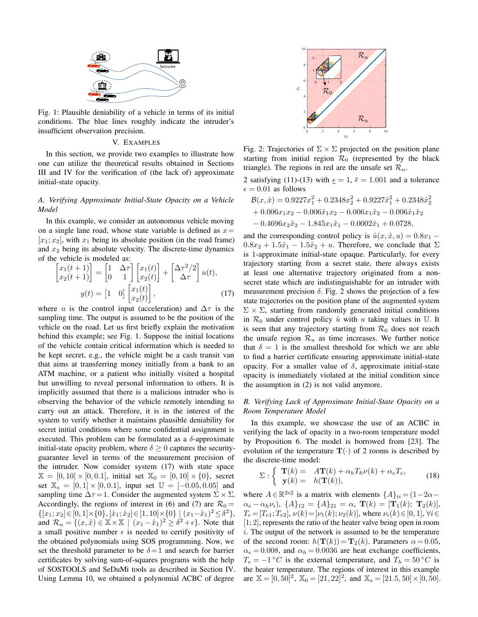

Fig. 1: Plausible deniability of a vehicle in terms of its initial conditions. The blue lines roughly indicate the intruder's insufficient observation precision.

### V. EXAMPLES

In this section, we provide two examples to illustrate how one can utilize the theoretical results obtained in Sections III and IV for the verification of (the lack of) approximate initial-state opacity.

### *A. Verifying Approximate Initial-State Opacity on a Vehicle Model*

In this example, we consider an autonomous vehicle moving on a single lane road, whose state variable is defined as  $x=$  $[x_1; x_2]$ , with  $x_1$  being its absolute position (in the road frame) and  $x_2$  being its absolute velocity. The discrete-time dynamics of the vehicle is modeled as:

$$
\begin{bmatrix} x_1(t+1) \\ x_2(t+1) \end{bmatrix} = \begin{bmatrix} 1 & \Delta \tau \\ 0 & 1 \end{bmatrix} \begin{bmatrix} x_1(t) \\ x_2(t) \end{bmatrix} + \begin{bmatrix} \Delta \tau^2 / 2 \\ \Delta \tau \end{bmatrix} u(t),
$$
\n
$$
y(t) = \begin{bmatrix} 1 & 0 \end{bmatrix} \begin{bmatrix} x_1(t) \\ x_2(t) \end{bmatrix}, \tag{17}
$$

where u is the control input (acceleration) and  $\Delta \tau$  is the sampling time. The output is assumed to be the position of the vehicle on the road. Let us first briefly explain the motivation behind this example; see Fig. 1. Suppose the initial locations of the vehicle contain critical information which is needed to be kept secret, e.g., the vehicle might be a cash transit van that aims at transferring money initially from a bank to an ATM machine, or a patient who initially visited a hospital but unwilling to reveal personal information to others. It is implicitly assumed that there is a malicious intruder who is observing the behavior of the vehicle remotely intending to carry out an attack. Therefore, it is in the interest of the system to verify whether it maintains plausible deniability for secret initial conditions where some confidential assignment is executed. This problem can be formulated as a  $\delta$ -approximate initial-state opacity problem, where  $\delta > 0$  captures the securityguarantee level in terms of the measurement precision of the intruder. Now consider system (17) with state space  $X = [0, 10] \times [0, 0.1]$ , initial set  $X_0 = [0, 10] \times \{0\}$ , secret set  $\mathbb{X}_s = [0, 1] \times [0, 0.1]$ , input set  $\mathbb{U} = [-0.05, 0.05]$  and sampling time  $\Delta \tau = 1$ . Consider the augmented system  $\Sigma \times \Sigma$ . Accordingly, the regions of interest in (6) and (7) are  $\mathcal{R}_0 =$  $\{[x_1; x_2] \in [0, 1] \times \{0\}, [\hat{x}_1; \hat{x}_2] \in [1, 10] \times \{0\} \mid (x_1 - \hat{x}_1)^2 \le \delta^2\},\$ and  $\mathcal{R}_u = \{(x, \hat{x}) \in \mathbb{X} \times \mathbb{X} \mid (x_1 - \hat{x}_1)^2 \ge \delta^2 + \epsilon\}.$  Note that a small positive number  $\epsilon$  is needed to certify positivity of the obtained polynomials using SOS programming. Now, we set the threshold parameter to be  $\delta = 1$  and search for barrier certificates by solving sum-of-squares programs with the help of SOSTOOLS and SeDuMi tools as described in Section IV. Using Lemma 10, we obtained a polynomial ACBC of degree



Fig. 2: Trajectories of  $\Sigma \times \Sigma$  projected on the position plane starting from initial region  $\mathcal{R}_0$  (represented by the black triangle). The regions in red are the unsafe set  $\mathcal{R}_u$ .

2 satisfying (11)-(13) with  $\epsilon = 1$ ,  $\bar{\epsilon} = 1.001$  and a tolerance  $\epsilon = 0.01$  as follows

$$
\mathcal{B}(x,\hat{x}) = 0.9227x_1^2 + 0.2348x_2^2 + 0.9227\hat{x}_1^2 + 0.2348\hat{x}_2^2
$$
  
+ 0.006x<sub>1</sub>x<sub>2</sub> - 0.006\hat{x}<sub>1</sub>x<sub>2</sub> - 0.006x<sub>1</sub>\hat{x}<sub>2</sub> - 0.006\hat{x}<sub>1</sub>\hat{x}<sub>2</sub>  
- 0.4696x<sub>2</sub>\hat{x}<sub>2</sub> - 1.845x<sub>1</sub>\hat{x}<sub>1</sub> - 0.0002\hat{x}<sub>1</sub> + 0.0728,

and the corresponding control policy is  $\hat{u}(x, \hat{x}, u) = 0.8x_1 0.8x_2 + 1.5\hat{x}_1 - 1.5\hat{x}_2 + u$ . Therefore, we conclude that  $\Sigma$ is 1-approximate initial-state opaque. Particularly, for every trajectory starting from a secret state, there always exists at least one alternative trajectory originated from a nonsecret state which are indistinguishable for an intruder with measurement precision  $\delta$ . Fig. 2 shows the projection of a few state trajectories on the position plane of the augmented system  $\Sigma \times \Sigma$ , starting from randomly generated initial conditions in  $\mathcal{R}_0$  under control policy  $\hat{u}$  with u taking values in U. It is seen that any trajectory starting from  $\mathcal{R}_0$  does not reach the unsafe region  $\mathcal{R}_u$  as time increases. We further notice that  $\delta = 1$  is the smallest threshold for which we are able to find a barrier certificate ensuring approximate initial-state opacity. For a smaller value of δ, approximate initial-state opacity is immediately violated at the initial condition since the assumption in (2) is not valid anymore.

### *B. Verifying Lack of Approximate Initial-State Opacity on a Room Temperature Model*

In this example, we showcase the use of an ACBC in verifying the lack of opacity in a two-room temperature model by Proposition 6. The model is borrowed from [23]. The evolution of the temperature  $\mathbf{T}(\cdot)$  of 2 rooms is described by the discrete-time model:

$$
\Sigma: \begin{cases} \mathbf{T}(k) = A\mathbf{T}(k) + \alpha_h T_h \nu(k) + \alpha_e T_e, \\ \mathbf{y}(k) = h(\mathbf{T}(k)), \end{cases}
$$
(18)

where  $A \in \mathbb{R}^{2 \times 2}$  is a matrix with elements  $\{A\}_{ii} = (1 - 2\alpha \alpha_e - \alpha_h \nu_i$ ,  $\{A\}_{12} = \{A\}_{21} = \alpha$ ,  $\mathbf{T}(k) = [\mathbf{T}_1(k); \mathbf{T}_2(k)]$ ,  $T_e = [T_{e1}; T_{e2}], \nu(k) = [\nu_1(k); \nu_2(k)],$  where  $\nu_i(k) \in [0, 1], \forall i \in$  $[1; 2]$ , represents the ratio of the heater valve being open in room i. The output of the network is assumed to be the temperature of the second room:  $h(\mathbf{T}(k)) = \mathbf{T}_2(k)$ . Parameters  $\alpha = 0.05$ ,  $\alpha_e = 0.008$ , and  $\alpha_h = 0.0036$  are heat exchange coefficients,  $T_e = -1$  °C is the external temperature, and  $T_h = 50$  °C is the heater temperature. The regions of interest in this example are  $\mathbb{X} = [0, 50]^2$ ,  $\mathbb{X}_0 = [21, 22]^2$ , and  $\mathbb{X}_s = [21.5, 50] \times [0, 50]$ .